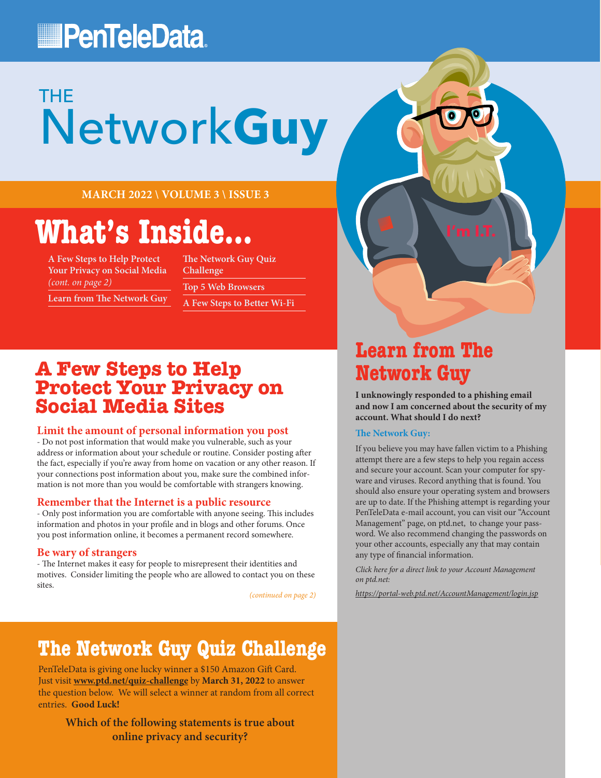## **PenTeleData**

# Network**Guy** THE

**MARCH 2022 \ VOLUME 3 \ ISSUE 3**

# **What's Inside...**

**A Few Steps to Help Protect Your Privacy on Social Media**  *(cont. on page 2)*

**The Network Guy Quiz Challenge Top 5 Web Browsers A Few Steps to Better Wi-Fi**

**Learn from The Network Guy**

**A Few Steps to Help Protect Your Privacy on Social Media Sites**

#### **Limit the amount of personal information you post**

- Do not post information that would make you vulnerable, such as your address or information about your schedule or routine. Consider posting after the fact, especially if you're away from home on vacation or any other reason. If your connections post information about you, make sure the combined information is not more than you would be comfortable with strangers knowing.

### **Remember that the Internet is a public resource**

- Only post information you are comfortable with anyone seeing. This includes information and photos in your profile and in blogs and other forums. Once you post information online, it becomes a permanent record somewhere.

#### **Be wary of strangers**

- The Internet makes it easy for people to misrepresent their identities and motives. Consider limiting the people who are allowed to contact you on these sites.

*(continued on page 2)*

## **The Network Guy Quiz Challenge**

PenTeleData is giving one lucky winner a \$150 Amazon Gift Card. Just visit **[www.ptd.net/quiz-challenge](http://www.ptd.net/quiz-challenge)** by **March 31, 2022** to answer the question below. We will select a winner at random from all correct entries. **Good Luck!**

**Which of the following statements is true about online privacy and security?**

### **Learn from The Network Guy**

**I unknowingly responded to a phishing email and now I am concerned about the security of my account. What should I do next?**

### **The Network Guy:**

If you believe you may have fallen victim to a Phishing attempt there are a few steps to help you regain access and secure your account. Scan your computer for spyware and viruses. Record anything that is found. You should also ensure your operating system and browsers are up to date. If the Phishing attempt is regarding your PenTeleData e-mail account, you can visit our "Account Management" page, on ptd.net, to change your password. We also recommend changing the passwords on your other accounts, especially any that may contain any type of financial information.

*Click here for a direct link to your Account Management on ptd.net:*

*<https://portal-web.ptd.net/AccountManagement/login.jsp>*